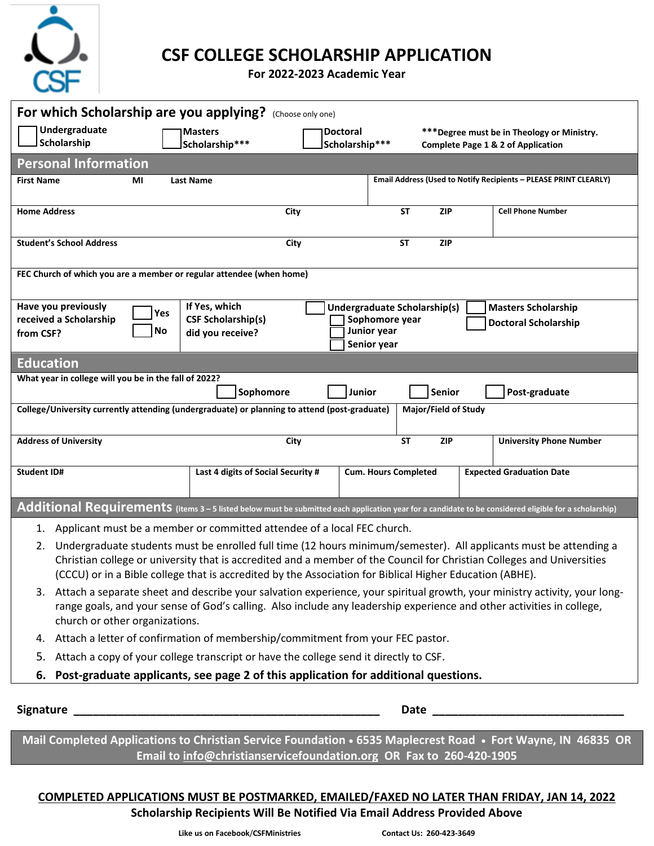

## **CSF COLLEGE SCHOLARSHIP APPLICATION**

**For 2022-2023 Academic Year**

| For which Scholarship are you applying?<br>(Choose only one)                                                                                                                                                                                                                                                                                                  |                                            |                                                |                                                                                              |
|---------------------------------------------------------------------------------------------------------------------------------------------------------------------------------------------------------------------------------------------------------------------------------------------------------------------------------------------------------------|--------------------------------------------|------------------------------------------------|----------------------------------------------------------------------------------------------|
| Undergraduate<br>Scholarship                                                                                                                                                                                                                                                                                                                                  | <b>Masters</b><br>Scholarship***           | <b>Doctoral</b><br>Scholarship***              | *** Degree must be in Theology or Ministry.<br><b>Complete Page 1 &amp; 2 of Application</b> |
| <b>Personal Information</b>                                                                                                                                                                                                                                                                                                                                   |                                            |                                                |                                                                                              |
| <b>First Name</b><br>ΜI                                                                                                                                                                                                                                                                                                                                       | <b>Last Name</b>                           |                                                | Email Address (Used to Notify Recipients - PLEASE PRINT CLEARLY)                             |
| <b>Home Address</b>                                                                                                                                                                                                                                                                                                                                           |                                            | <b>ST</b>                                      | <b>Cell Phone Number</b>                                                                     |
|                                                                                                                                                                                                                                                                                                                                                               | City                                       | <b>ZIP</b>                                     |                                                                                              |
| <b>Student's School Address</b>                                                                                                                                                                                                                                                                                                                               | City                                       | <b>ST</b><br><b>ZIP</b>                        |                                                                                              |
| FEC Church of which you are a member or regular attendee (when home)                                                                                                                                                                                                                                                                                          |                                            |                                                |                                                                                              |
| Have you previously<br>Yes<br>received a Scholarship                                                                                                                                                                                                                                                                                                          | If Yes, which<br><b>CSF Scholarship(s)</b> | Undergraduate Scholarship(s)<br>Sophomore year | <b>Masters Scholarship</b><br><b>Doctoral Scholarship</b>                                    |
| Junior year<br>No<br>did you receive?<br>from CSF?<br>Senior year                                                                                                                                                                                                                                                                                             |                                            |                                                |                                                                                              |
| <b>Education</b>                                                                                                                                                                                                                                                                                                                                              |                                            |                                                |                                                                                              |
| What year in college will you be in the fall of 2022?                                                                                                                                                                                                                                                                                                         |                                            |                                                |                                                                                              |
| Senior<br>Post-graduate<br>Sophomore<br>Junior<br>College/University currently attending (undergraduate) or planning to attend (post-graduate)<br>Major/Field of Study                                                                                                                                                                                        |                                            |                                                |                                                                                              |
| <b>Address of University</b>                                                                                                                                                                                                                                                                                                                                  | City                                       | <b>ST</b><br><b>ZIP</b>                        | <b>University Phone Number</b>                                                               |
| <b>Student ID#</b>                                                                                                                                                                                                                                                                                                                                            | Last 4 digits of Social Security #         | <b>Cum. Hours Completed</b>                    | <b>Expected Graduation Date</b>                                                              |
| Additional Requirements (items 3 - 5 listed below must be submitted each application year for a candidate to be considered eligible for a scholarship)                                                                                                                                                                                                        |                                            |                                                |                                                                                              |
| 1. Applicant must be a member or committed attendee of a local FEC church.                                                                                                                                                                                                                                                                                    |                                            |                                                |                                                                                              |
| Undergraduate students must be enrolled full time (12 hours minimum/semester). All applicants must be attending a<br>2.<br>Christian college or university that is accredited and a member of the Council for Christian Colleges and Universities<br>(CCCU) or in a Bible college that is accredited by the Association for Biblical Higher Education (ABHE). |                                            |                                                |                                                                                              |
| 3. Attach a separate sheet and describe your salvation experience, your spiritual growth, your ministry activity, your long-<br>range goals, and your sense of God's calling. Also include any leadership experience and other activities in college,<br>church or other organizations.                                                                       |                                            |                                                |                                                                                              |
| 4. Attach a letter of confirmation of membership/commitment from your FEC pastor.                                                                                                                                                                                                                                                                             |                                            |                                                |                                                                                              |
| 5. Attach a copy of your college transcript or have the college send it directly to CSF.                                                                                                                                                                                                                                                                      |                                            |                                                |                                                                                              |
| Post-graduate applicants, see page 2 of this application for additional questions.<br>6.                                                                                                                                                                                                                                                                      |                                            |                                                |                                                                                              |
|                                                                                                                                                                                                                                                                                                                                                               |                                            |                                                |                                                                                              |
| Mail Completed Applications to Christian Service Foundation • 6535 Maplecrest Road • Fort Wayne, IN 46835 OR<br>Email to info@christianservicefoundation.org OR Fax to 260-420-1905                                                                                                                                                                           |                                            |                                                |                                                                                              |

## **COMPLETED APPLICATIONS MUST BE POSTMARKED, EMAILED/FAXED NO LATER THAN FRIDAY, JAN 14, 2022 Scholarship Recipients Will Be Notified Via Email Address Provided Above**